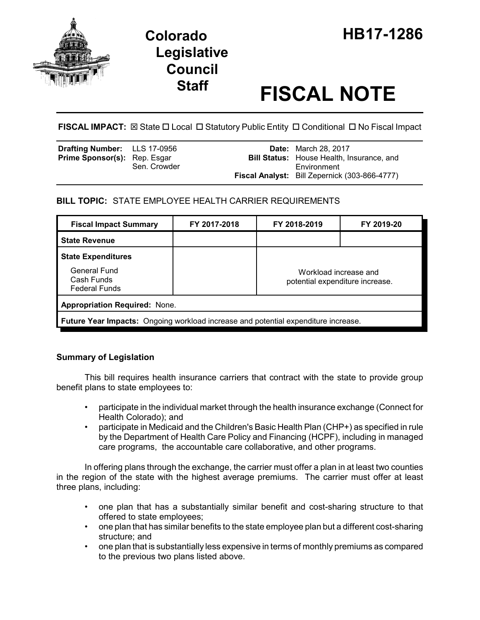

# **Legislative Council**

# **Staff FISCAL NOTE**

**FISCAL IMPACT:** ⊠ State □ Local □ Statutory Public Entity □ Conditional □ No Fiscal Impact

| <b>Drafting Number:</b> LLS 17-0956 |              | <b>Date:</b> March 28, 2017                                     |
|-------------------------------------|--------------|-----------------------------------------------------------------|
| Prime Sponsor(s): Rep. Esgar        | Sen. Crowder | <b>Bill Status:</b> House Health, Insurance, and<br>Environment |
|                                     |              | <b>Fiscal Analyst:</b> Bill Zepernick (303-866-4777)            |

# **BILL TOPIC:** STATE EMPLOYEE HEALTH CARRIER REQUIREMENTS

| <b>Fiscal Impact Summary</b>                                                              | FY 2017-2018 | FY 2018-2019                                             | FY 2019-20 |  |  |
|-------------------------------------------------------------------------------------------|--------------|----------------------------------------------------------|------------|--|--|
| <b>State Revenue</b>                                                                      |              |                                                          |            |  |  |
| <b>State Expenditures</b>                                                                 |              |                                                          |            |  |  |
| General Fund<br>Cash Funds<br><b>Federal Funds</b>                                        |              | Workload increase and<br>potential expenditure increase. |            |  |  |
| <b>Appropriation Required: None.</b>                                                      |              |                                                          |            |  |  |
| <b>Future Year Impacts:</b> Ongoing workload increase and potential expenditure increase. |              |                                                          |            |  |  |

## **Summary of Legislation**

This bill requires health insurance carriers that contract with the state to provide group benefit plans to state employees to:

- participate in the individual market through the health insurance exchange (Connect for Health Colorado); and
- participate in Medicaid and the Children's Basic Health Plan (CHP+) as specified in rule by the Department of Health Care Policy and Financing (HCPF), including in managed care programs, the accountable care collaborative, and other programs.

In offering plans through the exchange, the carrier must offer a plan in at least two counties in the region of the state with the highest average premiums. The carrier must offer at least three plans, including:

- one plan that has a substantially similar benefit and cost-sharing structure to that offered to state employees;
- one plan that has similar benefits to the state employee plan but a different cost-sharing structure; and
- one plan that is substantially less expensive in terms of monthly premiums as compared to the previous two plans listed above.